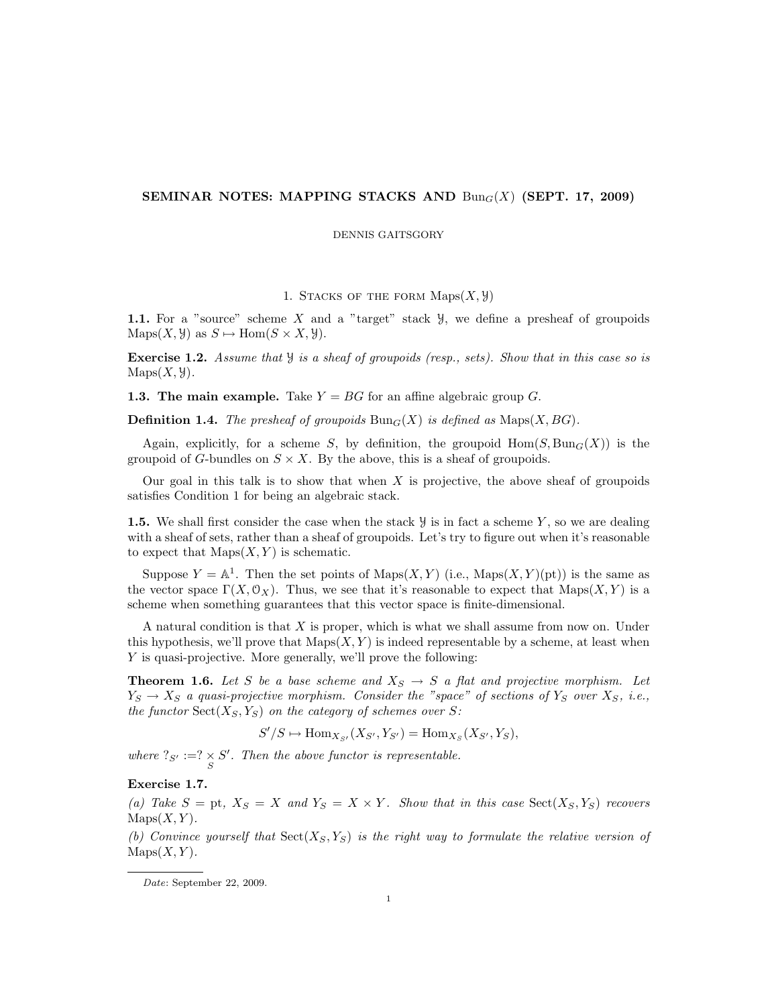# SEMINAR NOTES: MAPPING STACKS AND  $\text{Bun}_G(X)$  (SEPT. 17, 2009)

### DENNIS GAITSGORY

## 1. STACKS OF THE FORM  $Maps(X, Y)$

1.1. For a "source" scheme X and a "target" stack  $\mathcal{Y}$ , we define a presheaf of groupoids  $\text{Maps}(X, \mathcal{Y})$  as  $S \mapsto \text{Hom}(S \times X, \mathcal{Y}).$ 

Exercise 1.2. Assume that  $\mathcal Y$  is a sheaf of groupoids (resp., sets). Show that in this case so is  $\text{Maps}(X, Y)$ .

**1.3. The main example.** Take  $Y = BG$  for an affine algebraic group G.

**Definition 1.4.** The presheaf of groupoids  $\text{Bun}_G(X)$  is defined as  $\text{Maps}(X, BG)$ .

Again, explicitly, for a scheme S, by definition, the groupoid  $\text{Hom}(S, \text{Bun}_G(X))$  is the groupoid of G-bundles on  $S \times X$ . By the above, this is a sheaf of groupoids.

Our goal in this talk is to show that when  $X$  is projective, the above sheaf of groupoids satisfies Condition 1 for being an algebraic stack.

**1.5.** We shall first consider the case when the stack  $\mathcal{Y}$  is in fact a scheme Y, so we are dealing with a sheaf of sets, rather than a sheaf of groupoids. Let's try to figure out when it's reasonable to expect that  $Maps(X, Y)$  is schematic.

Suppose  $Y = \mathbb{A}^1$ . Then the set points of Maps $(X, Y)$  (i.e., Maps $(X, Y)(pt)$ ) is the same as the vector space  $\Gamma(X, \mathcal{O}_X)$ . Thus, we see that it's reasonable to expect that  $\text{Maps}(X, Y)$  is a scheme when something guarantees that this vector space is finite-dimensional.

A natural condition is that X is proper, which is what we shall assume from now on. Under this hypothesis, we'll prove that  $\text{Maps}(X, Y)$  is indeed representable by a scheme, at least when Y is quasi-projective. More generally, we'll prove the following:

**Theorem 1.6.** Let S be a base scheme and  $X_S \rightarrow S$  a flat and projective morphism. Let  $Y_S \to X_S$  a quasi-projective morphism. Consider the "space" of sections of  $Y_S$  over  $X_S$ , i.e., the functor  $Sect(X_S, Y_S)$  on the category of schemes over S:

 $S'/S \mapsto \text{Hom}_{X_{S'}}(X_{S'}, Y_{S'}) = \text{Hom}_{X_S}(X_{S'}, Y_S),$ 

where  $?_{S'} := ? \times S'$ . Then the above functor is representable.

# Exercise 1.7.

(a) Take  $S = pt$ ,  $X_S = X$  and  $Y_S = X \times Y$ . Show that in this case  $Sect(X_S, Y_S)$  recovers  $\text{Maps}(X, Y)$ .

(b) Convince yourself that  $Sect(X_S, Y_S)$  is the right way to formulate the relative version of  $\text{Maps}(X, Y)$ .

Date: September 22, 2009.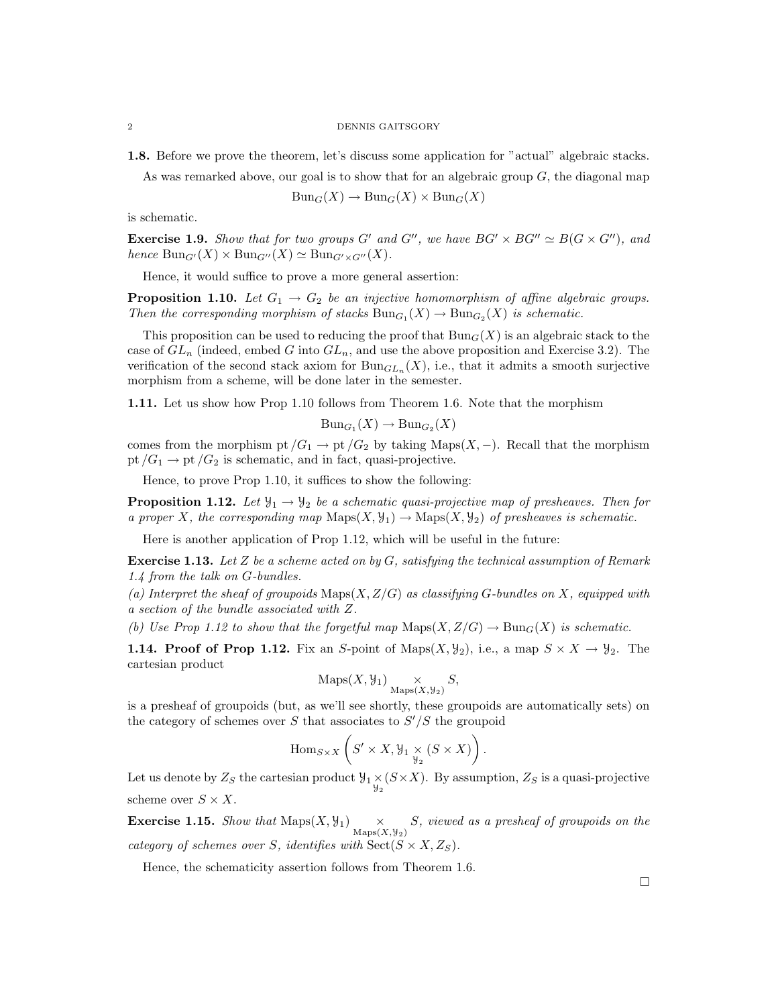#### 2 DENNIS GAITSGORY

1.8. Before we prove the theorem, let's discuss some application for "actual" algebraic stacks.

As was remarked above, our goal is to show that for an algebraic group  $G$ , the diagonal map

$$
Bun_G(X) \to Bun_G(X)\times Bun_G(X)
$$

is schematic.

**Exercise 1.9.** Show that for two groups G' and G'', we have  $BG' \times BG' \simeq B(G \times G'')$ , and hence  $Bun_{G'}(X) \times Bun_{G''}(X) \simeq Bun_{G' \times G''}(X)$ .

Hence, it would suffice to prove a more general assertion:

**Proposition 1.10.** Let  $G_1 \rightarrow G_2$  be an injective homomorphism of affine algebraic groups. Then the corresponding morphism of stacks  $Bun_{G_1}(X) \to Bun_{G_2}(X)$  is schematic.

This proposition can be used to reducing the proof that  $Bun_G(X)$  is an algebraic stack to the case of  $GL_n$  (indeed, embed G into  $GL_n$ , and use the above proposition and Exercise 3.2). The verification of the second stack axiom for  $Bun_{GL_n}(X)$ , i.e., that it admits a smooth surjective morphism from a scheme, will be done later in the semester.

1.11. Let us show how Prop 1.10 follows from Theorem 1.6. Note that the morphism

$$
Bun_{G_1}(X) \to Bun_{G_2}(X)
$$

comes from the morphism pt  $/G_1 \to pt/G_2$  by taking Maps $(X, -)$ . Recall that the morphism pt  $/G_1 \rightarrow$  pt  $/G_2$  is schematic, and in fact, quasi-projective.

Hence, to prove Prop 1.10, it suffices to show the following:

**Proposition 1.12.** Let  $\mathcal{Y}_1 \rightarrow \mathcal{Y}_2$  be a schematic quasi-projective map of presheaves. Then for a proper X, the corresponding map  $\text{Maps}(X, \mathcal{Y}_1) \to \text{Maps}(X, \mathcal{Y}_2)$  of presheaves is schematic.

Here is another application of Prop 1.12, which will be useful in the future:

**Exercise 1.13.** Let Z be a scheme acted on by G, satisfying the technical assumption of Remark 1.4 from the talk on G-bundles.

(a) Interpret the sheaf of groupoids  $\text{Maps}(X, Z/G)$  as classifying G-bundles on X, equipped with a section of the bundle associated with Z.

(b) Use Prop 1.12 to show that the forgetful map  $\text{Maps}(X, Z/G) \to \text{Bun}_G(X)$  is schematic.

**1.14. Proof of Prop 1.12.** Fix an S-point of Maps $(X, \mathcal{Y}_2)$ , i.e., a map  $S \times X \to \mathcal{Y}_2$ . The cartesian product

$$
\operatorname{Maps}(X, \mathcal{Y}_1) \underset{\operatorname{Maps}(X, \mathcal{Y}_2)}{\times} S,
$$

is a presheaf of groupoids (but, as we'll see shortly, these groupoids are automatically sets) on the category of schemes over S that associates to  $S'/S$  the groupoid

$$
\mathrm{Hom}_{S \times X} \left( S' \times X, \mathcal{Y}_1 \underset{\mathcal{Y}_2}{\times} (S \times X) \right).
$$

Let us denote by  $Z_S$  the cartesian product  $\mathcal{Y}_1 \times (S \times X)$ . By assumption,  $Z_S$  is a quasi-projective scheme over  $S \times X$ .

**Exercise 1.15.** Show that  $Maps(X, Y_1) \times_{Maps(X, Y_2)} S$ , viewed as a presheaf of groupoids on the category of schemes over S, identifies with  $\text{Sect}(S \times X, Z_S)$ .

Hence, the schematicity assertion follows from Theorem 1.6.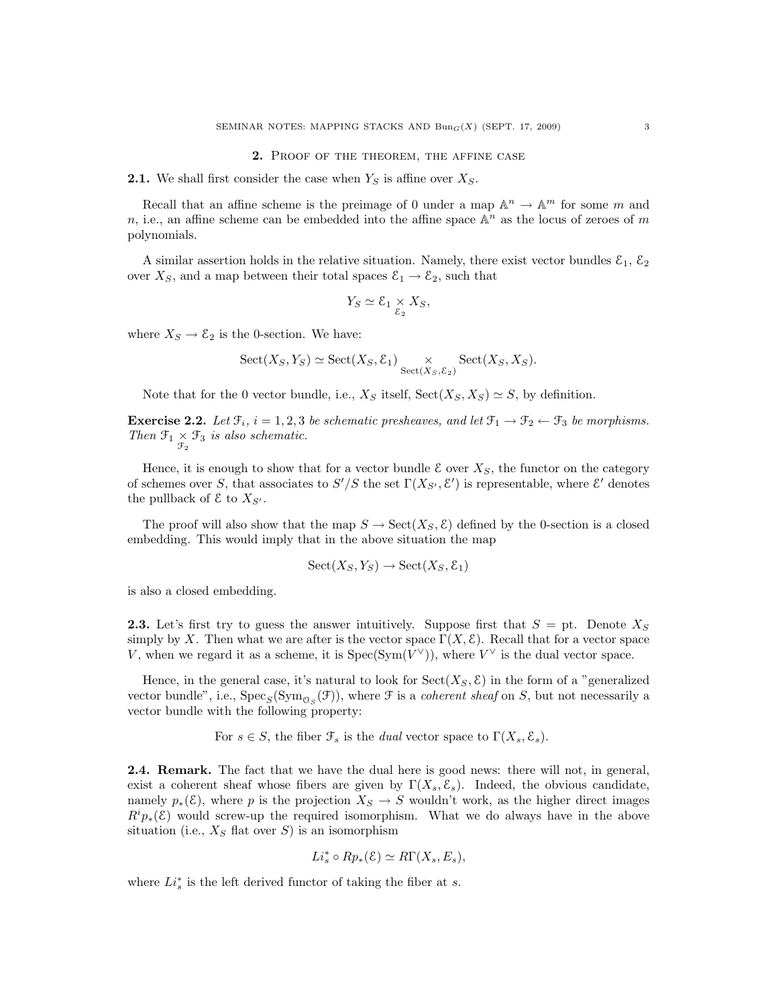#### 2. Proof of the theorem, the affine case

**2.1.** We shall first consider the case when  $Y<sub>S</sub>$  is affine over  $X<sub>S</sub>$ .

Recall that an affine scheme is the preimage of 0 under a map  $\mathbb{A}^n \to \mathbb{A}^m$  for some m and n, i.e., an affine scheme can be embedded into the affine space  $\mathbb{A}^n$  as the locus of zeroes of m polynomials.

A similar assertion holds in the relative situation. Namely, there exist vector bundles  $\mathcal{E}_1$ ,  $\mathcal{E}_2$ over  $X<sub>S</sub>$ , and a map between their total spaces  $\mathcal{E}<sub>1</sub> \rightarrow \mathcal{E}<sub>2</sub>$ , such that

$$
Y_S \simeq \mathcal{E}_1 \underset{\mathcal{E}_2}{\times} X_S,
$$

where  $X_S \to \mathcal{E}_2$  is the 0-section. We have:

$$
Sect(X_S, Y_S) \simeq Sect(X_S, \mathcal E_1) \underset{Sect(X_S, \mathcal E_2)}{\times} Sect(X_S, X_S).
$$

Note that for the 0 vector bundle, i.e.,  $X_S$  itself,  $\text{Sect}(X_S, X_S) \simeq S$ , by definition.

**Exercise 2.2.** Let  $\mathcal{F}_i$ ,  $i = 1, 2, 3$  be schematic presheaves, and let  $\mathcal{F}_1 \rightarrow \mathcal{F}_2 \leftarrow \mathcal{F}_3$  be morphisms. Then  $\mathfrak{F}_1 \times \mathfrak{F}_3$  is also schematic.

Hence, it is enough to show that for a vector bundle  $\mathcal E$  over  $X_S$ , the functor on the category of schemes over S, that associates to  $S'/S$  the set  $\Gamma(X_{S'}, \mathcal{E}')$  is representable, where  $\mathcal{E}'$  denotes the pullback of  $\mathcal E$  to  $X_{S'}$ .

The proof will also show that the map  $S \to \text{Sect}(X_S, \mathcal{E})$  defined by the 0-section is a closed embedding. This would imply that in the above situation the map

$$
Sect(X_S,Y_S) \to Sect(X_S,{\mathcal E}_1)
$$

is also a closed embedding.

**2.3.** Let's first try to guess the answer intuitively. Suppose first that  $S = pt$ . Denote  $X_S$ simply by X. Then what we are after is the vector space  $\Gamma(X, \mathcal{E})$ . Recall that for a vector space V, when we regard it as a scheme, it is  $Spec(Sym(V^{\vee}))$ , where  $V^{\vee}$  is the dual vector space.

Hence, in the general case, it's natural to look for  $Sect(X_S, \mathcal{E})$  in the form of a "generalized vector bundle", i.e.,  $Spec_S(Sym_{O_S}(\mathcal{F}))$ , where  $\mathcal F$  is a *coherent sheaf* on S, but not necessarily a vector bundle with the following property:

For  $s \in S$ , the fiber  $\mathcal{F}_s$  is the *dual* vector space to  $\Gamma(X_s, \mathcal{E}_s)$ .

2.4. Remark. The fact that we have the dual here is good news: there will not, in general, exist a coherent sheaf whose fibers are given by  $\Gamma(X_s, \mathcal{E}_s)$ . Indeed, the obvious candidate, namely  $p_*(\mathcal{E})$ , where p is the projection  $X_S \to S$  wouldn't work, as the higher direct images  $R^i p_{*}(\mathcal{E})$  would screw-up the required isomorphism. What we do always have in the above situation (i.e.,  $X_S$  flat over S) is an isomorphism

$$
Li_s^* \circ Rp_*(\mathcal{E}) \simeq R\Gamma(X_s, E_s),
$$

where  $Li_s^*$  is the left derived functor of taking the fiber at s.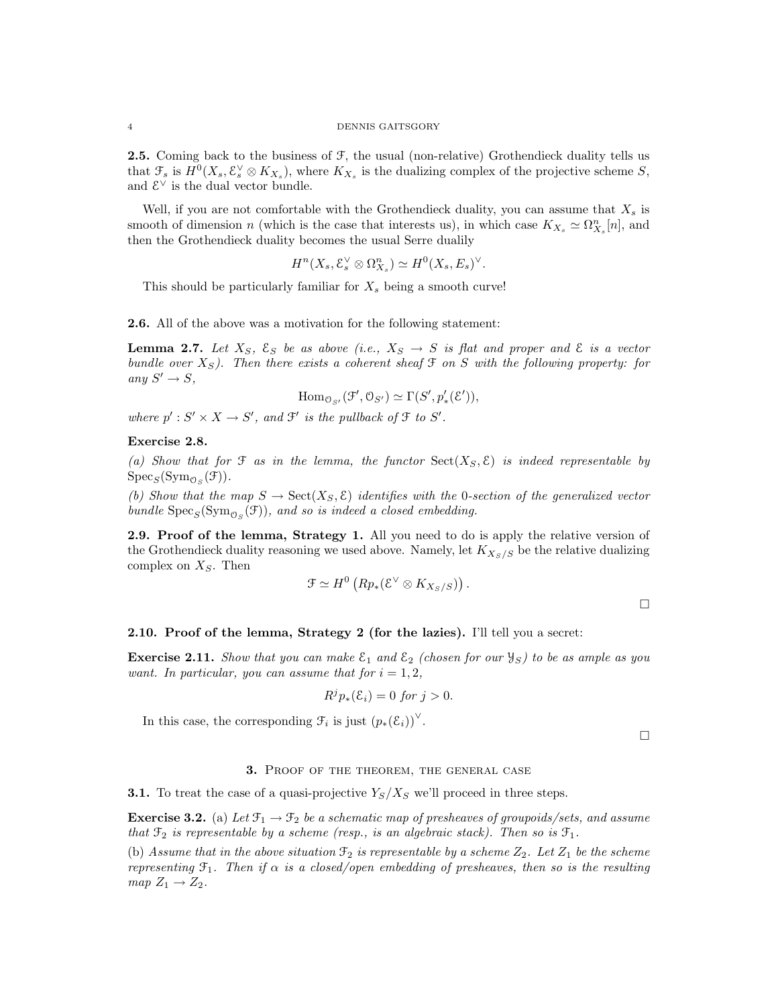**2.5.** Coming back to the business of  $\mathcal{F}$ , the usual (non-relative) Grothendieck duality tells us that  $\mathcal{F}_s$  is  $H^0(X_s, \mathcal{E}_s^{\vee} \otimes K_{X_s})$ , where  $K_{X_s}$  is the dualizing complex of the projective scheme S, and  $\mathcal{E}^{\vee}$  is the dual vector bundle.

Well, if you are not comfortable with the Grothendieck duality, you can assume that  $X_s$  is smooth of dimension n (which is the case that interests us), in which case  $K_{X_s} \simeq \Omega_{X_s}^n[n]$ , and then the Grothendieck duality becomes the usual Serre dualily

$$
H^{n}(X_{s},\mathcal{E}_{s}^{\vee}\otimes \Omega_{X_{s}}^{n})\simeq H^{0}(X_{s},E_{s})^{\vee}.
$$

This should be particularly familiar for  $X_s$  being a smooth curve!

2.6. All of the above was a motivation for the following statement:

**Lemma 2.7.** Let  $X_S$ ,  $\mathcal{E}_S$  be as above (i.e.,  $X_S \rightarrow S$  is flat and proper and  $\mathcal{E}$  is a vector bundle over  $X<sub>S</sub>$ ). Then there exists a coherent sheaf  $\mathfrak F$  on S with the following property: for any  $S' \to S$ ,

$$
\mathrm{Hom}_{\mathcal{O}_{S'}}(\mathcal{F}', \mathcal{O}_{S'}) \simeq \Gamma(S', p'_{*}(\mathcal{E}')),
$$

where  $p': S' \times X \to S'$ , and  $\mathcal{F}'$  is the pullback of  $\mathcal{F}$  to  $S'$ .

## Exercise 2.8.

(a) Show that for  $\mathfrak F$  as in the lemma, the functor  $\text{Sect}(X_S, \mathcal E)$  is indeed representable by  $\operatorname{Spec}_S(\operatorname{Sym}_{\mathcal{O}_S}(\mathcal{F}))$ .

(b) Show that the map  $S \to \text{Sect}(X_S, \mathcal{E})$  identifies with the 0-section of the generalized vector bundle  $\text{Spec}_S(\text{Sym}_{\mathcal{O}_S}(\mathcal{F}))$ , and so is indeed a closed embedding.

**2.9.** Proof of the lemma, Strategy 1. All you need to do is apply the relative version of the Grothendieck duality reasoning we used above. Namely, let  $K_{X_S/S}$  be the relative dualizing complex on  $X<sub>S</sub>$ . Then

$$
\mathfrak{F} \simeq H^0\left(Rp_*(\mathcal{E}^{\vee} \otimes K_{X_S/S})\right).
$$

 $\Box$ 

### 2.10. Proof of the lemma, Strategy 2 (for the lazies). I'll tell you a secret:

**Exercise 2.11.** Show that you can make  $\mathcal{E}_1$  and  $\mathcal{E}_2$  (chosen for our  $\mathcal{Y}_S$ ) to be as ample as you want. In particular, you can assume that for  $i = 1, 2$ ,

$$
R^j p_*(\mathcal{E}_i) = 0 \text{ for } j > 0.
$$

In this case, the corresponding  $\mathcal{F}_i$  is just  $(p_*(\mathcal{E}_i))^{\vee}$ .

 $\Box$ 

#### 3. Proof of the theorem, the general case

**3.1.** To treat the case of a quasi-projective  $Y_s/X_s$  we'll proceed in three steps.

**Exercise 3.2.** (a) Let  $\mathcal{F}_1 \rightarrow \mathcal{F}_2$  be a schematic map of presheaves of groupoids/sets, and assume that  $\mathfrak{F}_2$  is representable by a scheme (resp., is an algebraic stack). Then so is  $\mathfrak{F}_1$ .

(b) Assume that in the above situation  $\mathfrak{F}_2$  is representable by a scheme  $Z_2$ . Let  $Z_1$  be the scheme representing  $\mathfrak{F}_1$ . Then if  $\alpha$  is a closed/open embedding of presheaves, then so is the resulting  $map Z_1 \rightarrow Z_2.$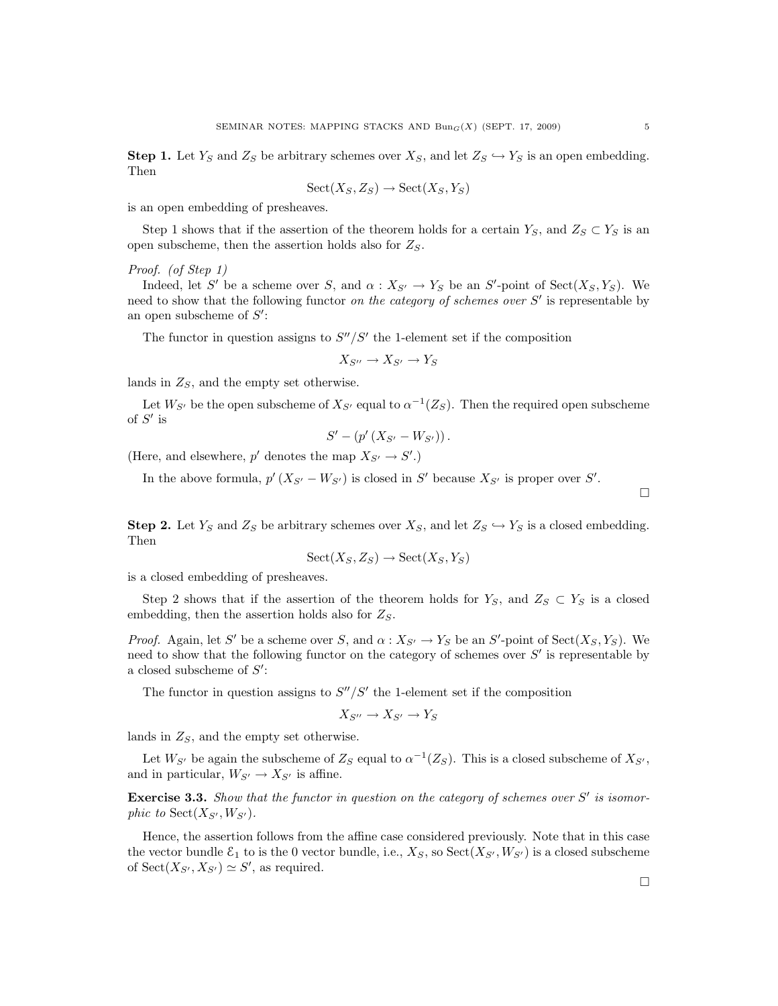**Step 1.** Let  $Y_S$  and  $Z_S$  be arbitrary schemes over  $X_S$ , and let  $Z_S \hookrightarrow Y_S$  is an open embedding. Then

$$
Sect(X_S, Z_S) \to Sect (X_S, Y_S)
$$

is an open embedding of presheaves.

Step 1 shows that if the assertion of the theorem holds for a certain  $Y_S$ , and  $Z_S \subset Y_S$  is an open subscheme, then the assertion holds also for  $Z_S$ .

## Proof. (of Step 1)

Indeed, let S' be a scheme over S, and  $\alpha: X_{S'} \to Y_S$  be an S'-point of Sect $(X_S, Y_S)$ . We need to show that the following functor on the category of schemes over  $S'$  is representable by an open subscheme of  $S'$ :

The functor in question assigns to  $S''/S'$  the 1-element set if the composition

$$
X_{S''} \to X_{S'} \to Y_S
$$

lands in  $Z_s$ , and the empty set otherwise.

Let  $W_{S'}$  be the open subscheme of  $X_{S'}$  equal to  $\alpha^{-1}(Z_S)$ . Then the required open subscheme of  $S'$  is

$$
S' - (p' (X_{S'} - W_{S'})) .
$$

(Here, and elsewhere,  $p'$  denotes the map  $X_{S'} \to S'.$ )

In the above formula,  $p'(X_{S'} - W_{S'})$  is closed in S' because  $X_{S'}$  is proper over S'.

 $\Box$ 

**Step 2.** Let  $Y_S$  and  $Z_S$  be arbitrary schemes over  $X_S$ , and let  $Z_S \hookrightarrow Y_S$  is a closed embedding. Then

$$
Sect(X_S, Z_S) \to Sect (X_S, Y_S)
$$

is a closed embedding of presheaves.

Step 2 shows that if the assertion of the theorem holds for  $Y_S$ , and  $Z_S \subset Y_S$  is a closed embedding, then the assertion holds also for  $Z_S$ .

*Proof.* Again, let S' be a scheme over S, and  $\alpha: X_{S'} \to Y_S$  be an S'-point of Sect $(X_S, Y_S)$ . We need to show that the following functor on the category of schemes over  $S'$  is representable by a closed subscheme of  $S'$ :

The functor in question assigns to  $S''/S'$  the 1-element set if the composition

$$
X_{S''} \to X_{S'} \to Y_S
$$

lands in  $Z_s$ , and the empty set otherwise.

Let  $W_{S'}$  be again the subscheme of  $Z_S$  equal to  $\alpha^{-1}(Z_S)$ . This is a closed subscheme of  $X_{S'}$ , and in particular,  $W_{S'} \to X_{S'}$  is affine.

**Exercise 3.3.** Show that the functor in question on the category of schemes over  $S'$  is isomorphic to  $Sect(X_{S'},W_{S'})$ .

Hence, the assertion follows from the affine case considered previously. Note that in this case the vector bundle  $\mathcal{E}_1$  to is the 0 vector bundle, i.e.,  $X_S$ , so  $\text{Sect}(X_{S'}, W_{S'})$  is a closed subscheme of  $Sect(X_{S'}, X_{S'}) \simeq S'$ , as required.